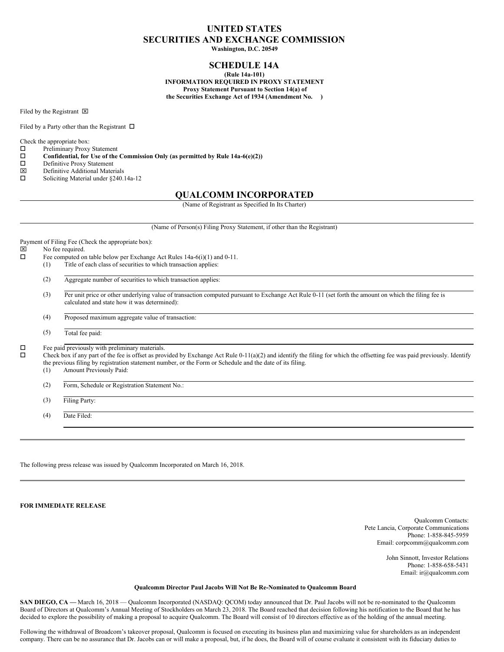# **UNITED STATES SECURITIES AND EXCHANGE COMMISSION**

**Washington, D.C. 20549**

# **SCHEDULE 14A**

**(Rule 14a-101) INFORMATION REQUIRED IN PROXY STATEMENT Proxy Statement Pursuant to Section 14(a) of the Securities Exchange Act of 1934 (Amendment No. )**

Filed by the Registrant  $\boxtimes$ 

Filed by a Party other than the Registrant  $\Box$ 

Check the appropriate box:<br> $\Box$  Preliminary Proxy

- Preliminary Proxy Statement
- $\square$  Confidential, for Use of the Commission Only (as permitted by Rule 14a-6(e)(2))<br> $\square$  Definitive Proxy Statement
- $\square$  Definitive Proxy Statement
- 
- $\boxtimes$  Definitive Additional Materials<br>  $\square$  Soliciting Material under §240. Soliciting Material under §240.14a-12

## **QUALCOMM INCORPORATED**

(Name of Registrant as Specified In Its Charter)

(Name of Person(s) Filing Proxy Statement, if other than the Registrant)

Payment of Filing Fee (Check the appropriate box):

- $\boxtimes$  No fee required.<br> $\Box$  Fee computed or
	- Fee computed on table below per Exchange Act Rules 14a-6(i)(1) and 0-11.
	- (1) Title of each class of securities to which transaction applies:
		- (2) Aggregate number of securities to which transaction applies:
		- (3) Per unit price or other underlying value of transaction computed pursuant to Exchange Act Rule 0-11 (set forth the amount on which the filing fee is calculated and state how it was determined):
		- (4) Proposed maximum aggregate value of transaction:
		- (5) Total fee paid:

 $\square$  Fee paid previously with preliminary materials.<br> $\square$  Check box if any part of the fee is offset as pro-

o Check box if any part of the fee is offset as provided by Exchange Act Rule 0-11(a)(2) and identify the filing for which the offsetting fee was paid previously. Identify the previous filing by registration statement number, or the Form or Schedule and the date of its filing.

- (1) Amount Previously Paid:
- (2) Form, Schedule or Registration Statement No.:
- (3) Filing Party:

(4) Date Filed:

The following press release was issued by Qualcomm Incorporated on March 16, 2018.

**FOR IMMEDIATE RELEASE**

Qualcomm Contacts: Pete Lancia, Corporate Communications Phone: 1-858-845-5959 Email: corpcomm@qualcomm.com

> John Sinnott, Investor Relations Phone: 1-858-658-5431 Email: ir@qualcomm.com

### **Qualcomm Director Paul Jacobs Will Not Be Re-Nominated to Qualcomm Board**

**SAN DIEGO, CA —** March 16, 2018 — Qualcomm Incorporated (NASDAQ: QCOM) today announced that Dr. Paul Jacobs will not be re-nominated to the Qualcomm Board of Directors at Qualcomm's Annual Meeting of Stockholders on March 23, 2018. The Board reached that decision following his notification to the Board that he has decided to explore the possibility of making a proposal to acquire Qualcomm. The Board will consist of 10 directors effective as of the holding of the annual meeting.

Following the withdrawal of Broadcom's takeover proposal, Qualcomm is focused on executing its business plan and maximizing value for shareholders as an independent company. There can be no assurance that Dr. Jacobs can or will make a proposal, but, if he does, the Board will of course evaluate it consistent with its fiduciary duties to